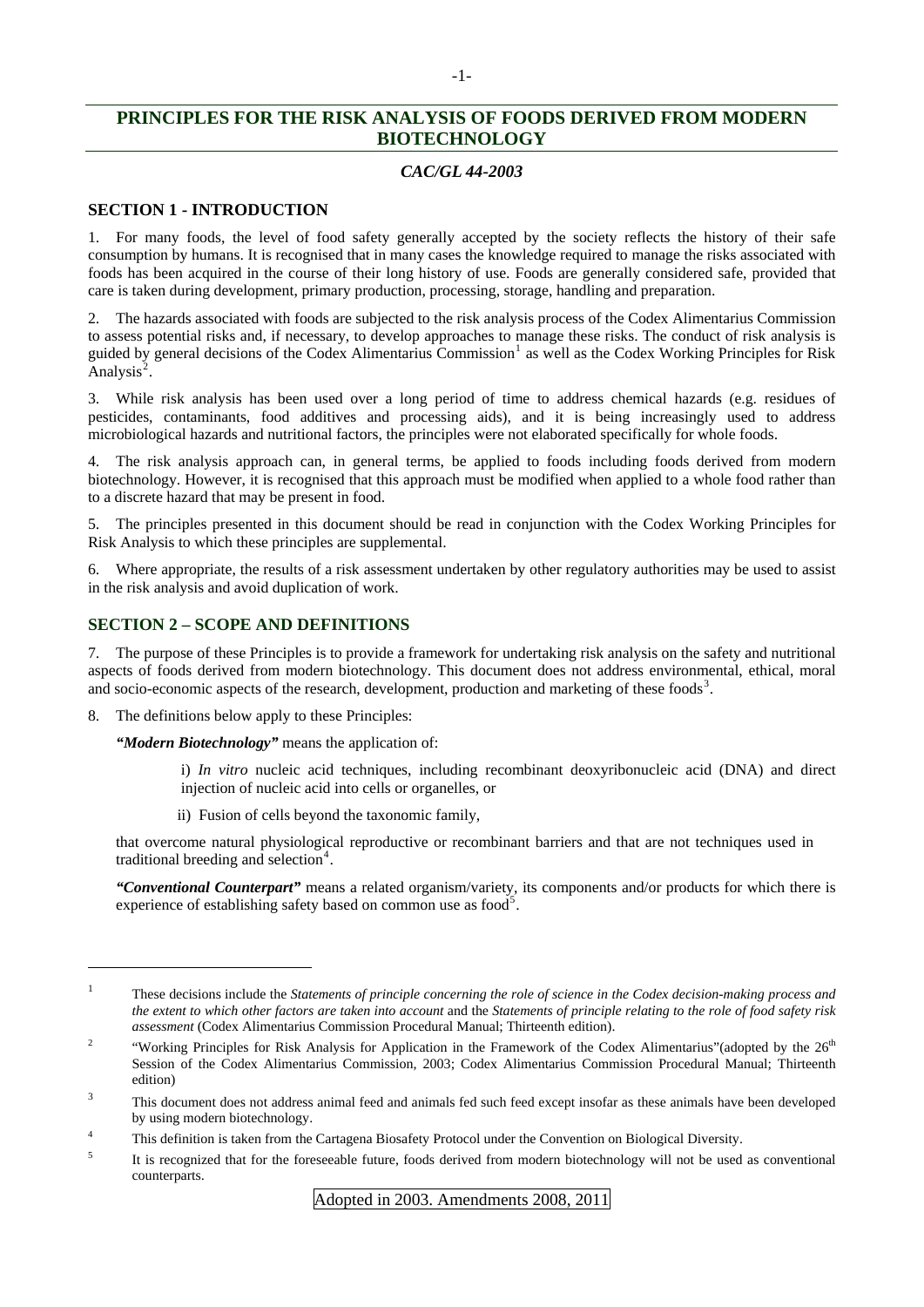# **PRINCIPLES FOR THE RISK ANALYSIS OF FOODS DERIVED FROM MODERN BIOTECHNOLOGY**

# *CAC/GL 44-2003*

# **SECTION 1 - INTRODUCTION**

1. For many foods, the level of food safety generally accepted by the society reflects the history of their safe consumption by humans. It is recognised that in many cases the knowledge required to manage the risks associated with foods has been acquired in the course of their long history of use. Foods are generally considered safe, provided that care is taken during development, primary production, processing, storage, handling and preparation.

2. The hazards associated with foods are subjected to the risk analysis process of the Codex Alimentarius Commission to assess potential risks and, if necessary, to develop approaches to manage these risks. The conduct of risk analysis is guided by general decisions of the Codex Alimentarius Commission<sup>[1](#page-0-0)</sup> as well as the Codex Working Principles for Risk  $\text{Analysis}^2$  $\text{Analysis}^2$ .

3. While risk analysis has been used over a long period of time to address chemical hazards (e.g. residues of pesticides, contaminants, food additives and processing aids), and it is being increasingly used to address microbiological hazards and nutritional factors, the principles were not elaborated specifically for whole foods.

4. The risk analysis approach can, in general terms, be applied to foods including foods derived from modern biotechnology. However, it is recognised that this approach must be modified when applied to a whole food rather than to a discrete hazard that may be present in food.

5. The principles presented in this document should be read in conjunction with the Codex Working Principles for Risk Analysis to which these principles are supplemental.

6. Where appropriate, the results of a risk assessment undertaken by other regulatory authorities may be used to assist in the risk analysis and avoid duplication of work.

# **SECTION 2 – SCOPE AND DEFINITIONS**

7. The purpose of these Principles is to provide a framework for undertaking risk analysis on the safety and nutritional aspects of foods derived from modern biotechnology. This document does not address environmental, ethical, moral and socio-economic aspects of the research, development, production and marketing of these foods<sup>[3](#page-0-2)</sup>.

8. The definitions below apply to these Principles:

l

*"Modern Biotechnology"* means the application of:

i) *In vitro* nucleic acid techniques, including recombinant deoxyribonucleic acid (DNA) and direct injection of nucleic acid into cells or organelles, or

ii) Fusion of cells beyond the taxonomic family,

that overcome natural physiological reproductive or recombinant barriers and that are not techniques used in traditional breeding and selection<sup>[4](#page-0-3)</sup>.

*"Conventional Counterpart"* means a related organism/variety, its components and/or products for which there is experience of establishing safety based on common use as food<sup>[5](#page-0-4)</sup>.

<span id="page-0-0"></span><sup>1</sup> These decisions include the *Statements of principle concerning the role of science in the Codex decision-making process and the extent to which other factors are taken into account* and the *Statements of principle relating to the role of food safety risk assessment* (Codex Alimentarius Commission Procedural Manual; Thirteenth edition).

<span id="page-0-1"></span><sup>2</sup> "Working Principles for Risk Analysis for Application in the Framework of the Codex Alimentarius"(adopted by the 26<sup>th</sup> Session of the Codex Alimentarius Commission, 2003; Codex Alimentarius Commission Procedural Manual; Thirteenth edition)

<span id="page-0-2"></span><sup>3</sup> This document does not address animal feed and animals fed such feed except insofar as these animals have been developed by using modern biotechnology.

<span id="page-0-3"></span><sup>4</sup> This definition is taken from the Cartagena Biosafety Protocol under the Convention on Biological Diversity.

<span id="page-0-4"></span><sup>5</sup> It is recognized that for the foreseeable future, foods derived from modern biotechnology will not be used as conventional counterparts.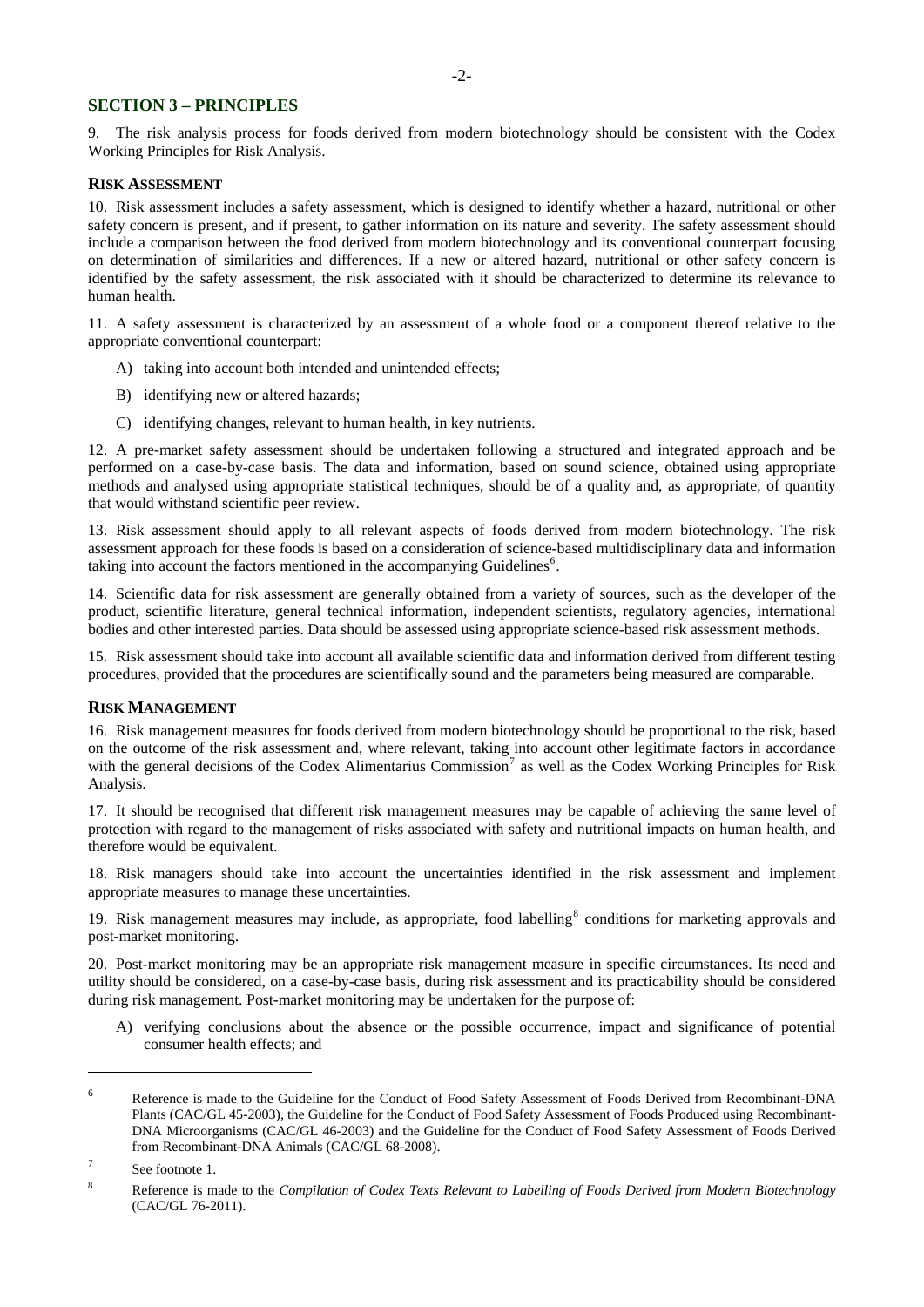### **SECTION 3 – PRINCIPLES**

9. The risk analysis process for foods derived from modern biotechnology should be consistent with the Codex Working Principles for Risk Analysis.

#### **RISK ASSESSMENT**

10. Risk assessment includes a safety assessment, which is designed to identify whether a hazard, nutritional or other safety concern is present, and if present, to gather information on its nature and severity. The safety assessment should include a comparison between the food derived from modern biotechnology and its conventional counterpart focusing on determination of similarities and differences. If a new or altered hazard, nutritional or other safety concern is identified by the safety assessment, the risk associated with it should be characterized to determine its relevance to human health.

11. A safety assessment is characterized by an assessment of a whole food or a component thereof relative to the appropriate conventional counterpart:

- A) taking into account both intended and unintended effects;
- B) identifying new or altered hazards;
- C) identifying changes, relevant to human health, in key nutrients.

12. A pre-market safety assessment should be undertaken following a structured and integrated approach and be performed on a case-by-case basis. The data and information, based on sound science, obtained using appropriate methods and analysed using appropriate statistical techniques, should be of a quality and, as appropriate, of quantity that would withstand scientific peer review.

13. Risk assessment should apply to all relevant aspects of foods derived from modern biotechnology. The risk assessment approach for these foods is based on a consideration of science-based multidisciplinary data and information taking into account the factors mentioned in the accompanying Guidelines<sup>[6](#page-1-0)</sup>.

14. Scientific data for risk assessment are generally obtained from a variety of sources, such as the developer of the product, scientific literature, general technical information, independent scientists, regulatory agencies, international bodies and other interested parties. Data should be assessed using appropriate science-based risk assessment methods.

15. Risk assessment should take into account all available scientific data and information derived from different testing procedures, provided that the procedures are scientifically sound and the parameters being measured are comparable.

#### **RISK MANAGEMENT**

16. Risk management measures for foods derived from modern biotechnology should be proportional to the risk, based on the outcome of the risk assessment and, where relevant, taking into account other legitimate factors in accordance with the general decisions of the Codex Alimentarius Commission<sup>[7](#page-1-1)</sup> as well as the Codex Working Principles for Risk Analysis.

17. It should be recognised that different risk management measures may be capable of achieving the same level of protection with regard to the management of risks associated with safety and nutritional impacts on human health, and therefore would be equivalent.

18. Risk managers should take into account the uncertainties identified in the risk assessment and implement appropriate measures to manage these uncertainties.

19. Risk management measures may include, as appropriate, food labelling<sup>[8](#page-1-2)</sup> conditions for marketing approvals and post-market monitoring.

20. Post-market monitoring may be an appropriate risk management measure in specific circumstances. Its need and utility should be considered, on a case-by-case basis, during risk assessment and its practicability should be considered during risk management. Post-market monitoring may be undertaken for the purpose of:

A) verifying conclusions about the absence or the possible occurrence, impact and significance of potential consumer health effects; and

l

<span id="page-1-0"></span><sup>6</sup> Reference is made to the Guideline for the Conduct of Food Safety Assessment of Foods Derived from Recombinant-DNA Plants (CAC/GL 45-2003), the Guideline for the Conduct of Food Safety Assessment of Foods Produced using Recombinant-DNA Microorganisms (CAC/GL 46-2003) and the Guideline for the Conduct of Food Safety Assessment of Foods Derived from Recombinant-DNA Animals (CAC/GL 68-2008).

<span id="page-1-1"></span><sup>7</sup> See footnote 1.

<span id="page-1-2"></span><sup>8</sup> Reference is made to the *Compilation of Codex Texts Relevant to Labelling of Foods Derived from Modern Biotechnology* (CAC/GL 76-2011).